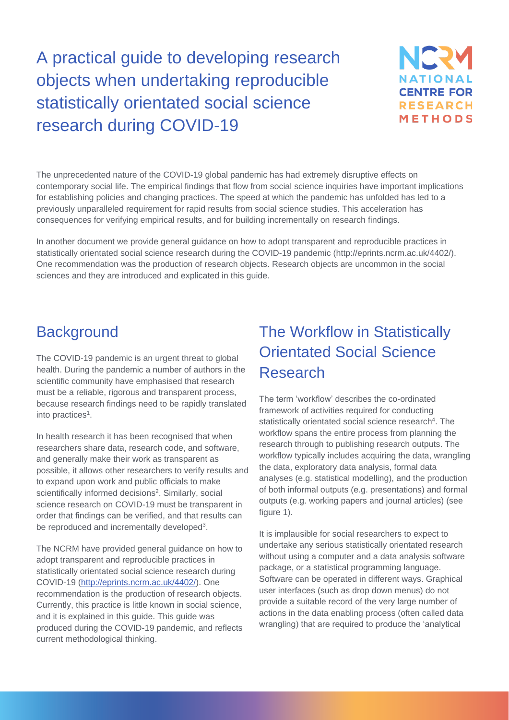# A practical guide to developing research objects when undertaking reproducible statistically orientated social science research during COVID-19



The unprecedented nature of the COVID-19 global pandemic has had extremely disruptive effects on contemporary social life. The empirical findings that flow from social science inquiries have important implications for establishing policies and changing practices. The speed at which the pandemic has unfolded has led to a previously unparalleled requirement for rapid results from social science studies. This acceleration has consequences for verifying empirical results, and for building incrementally on research findings.

In another document we provide general guidance on how to adopt transparent and reproducible practices in statistically orientated social science research during the COVID-19 pandemic (http://eprints.ncrm.ac.uk/4402/). One recommendation was the production of research objects. Research objects are uncommon in the social sciences and they are introduced and explicated in this guide.

### **Background**

The COVID-19 pandemic is an urgent threat to global health. During the pandemic a number of authors in the scientific community have emphasised that research must be a reliable, rigorous and transparent process, because research findings need to be rapidly translated into practices<sup>1</sup>.

In health research it has been recognised that when researchers share data, research code, and software, and generally make their work as transparent as possible, it allows other researchers to verify results and to expand upon work and public officials to make scientifically informed decisions<sup>2</sup>. Similarly, social science research on COVID-19 must be transparent in order that findings can be verified, and that results can be reproduced and incrementally developed<sup>3</sup>.

The NCRM have provided general guidance on how to adopt transparent and reproducible practices in statistically orientated social science research during COVID-19 [\(http://eprints.ncrm.ac.uk/4402/\)](http://eprints.ncrm.ac.uk/4402/). One recommendation is the production of research objects. Currently, this practice is little known in social science, and it is explained in this guide. This guide was produced during the COVID-19 pandemic, and reflects current methodological thinking.

## The Workflow in Statistically Orientated Social Science Research

The term 'workflow' describes the co-ordinated framework of activities required for conducting statistically orientated social science research<sup>4</sup>. The workflow spans the entire process from planning the research through to publishing research outputs. The workflow typically includes acquiring the data, wrangling the data, exploratory data analysis, formal data analyses (e.g. statistical modelling), and the production of both informal outputs (e.g. presentations) and formal outputs (e.g. working papers and journal articles) (see figure 1).

It is implausible for social researchers to expect to undertake any serious statistically orientated research without using a computer and a data analysis software package, or a statistical programming language. Software can be operated in different ways. Graphical user interfaces (such as drop down menus) do not provide a suitable record of the very large number of actions in the data enabling process (often called data wrangling) that are required to produce the 'analytical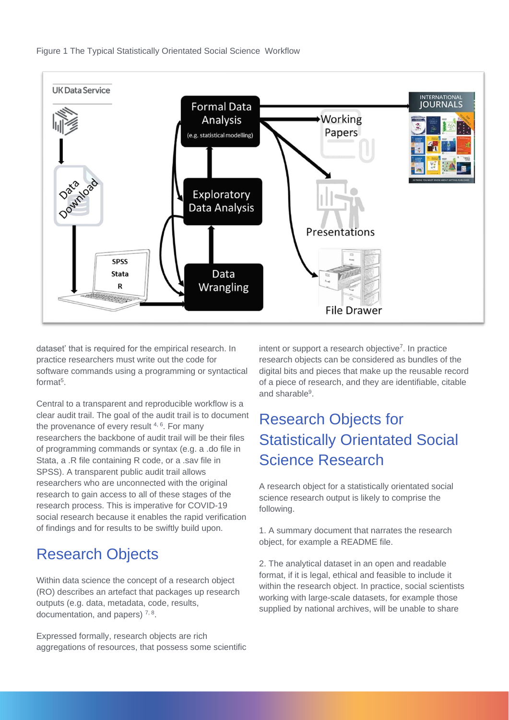



dataset' that is required for the empirical research. In practice researchers must write out the code for software commands using a programming or syntactical format<sup>5</sup>.

Central to a transparent and reproducible workflow is a clear audit trail. The goal of the audit trail is to document the provenance of every result  $4, 6$ . For many researchers the backbone of audit trail will be their files of programming commands or syntax (e.g. a .do file in Stata, a .R file containing R code, or a .sav file in SPSS). A transparent public audit trail allows researchers who are unconnected with the original research to gain access to all of these stages of the research process. This is imperative for COVID-19 social research because it enables the rapid verification of findings and for results to be swiftly build upon.

### Research Objects

Within data science the concept of a research object (RO) describes an artefact that packages up research outputs (e.g. data, metadata, code, results, documentation, and papers)  $7, 8$ .

Expressed formally, research objects are rich aggregations of resources, that possess some scientific

intent or support a research objective<sup>7</sup>. In practice research objects can be considered as bundles of the digital bits and pieces that make up the reusable record of a piece of research, and they are identifiable, citable and sharable<sup>9</sup>.

## Research Objects for Statistically Orientated Social Science Research

A research object for a statistically orientated social science research output is likely to comprise the following.

1. A summary document that narrates the research object, for example a README file.

2. The analytical dataset in an open and readable format, if it is legal, ethical and feasible to include it within the research object. In practice, social scientists working with large-scale datasets, for example those supplied by national archives, will be unable to share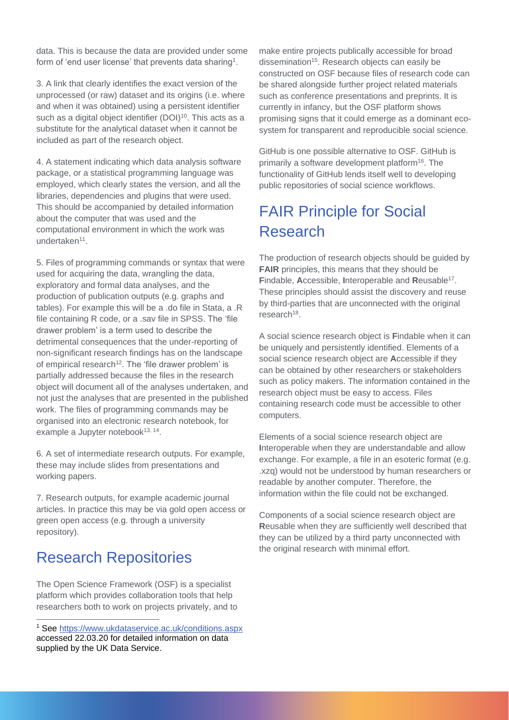data. This is because the data are provided under some form of 'end user license' that prevents data sharing<sup>1</sup>.

3. A link that clearly identifies the exact version of the unprocessed (or raw) dataset and its origins (i.e. where and when it was obtained) using a persistent identifier such as a digital object identifier (DOI)<sup>10</sup>. This acts as a substitute for the analytical dataset when it cannot be included as part of the research object.

4. A statement indicating which data analysis software package, or a statistical programming language was employed, which clearly states the version, and all the libraries, dependencies and plugins that were used. This should be accompanied by detailed information about the computer that was used and the computational environment in which the work was undertaken<sup>11</sup>.

5. Files of programming commands or syntax that were used for acquiring the data, wrangling the data, exploratory and formal data analyses, and the production of publication outputs (e.g. graphs and tables). For example this will be a .do file in Stata, a .R file containing R code, or a .sav file in SPSS. The 'file drawer problem' is a term used to describe the detrimental consequences that the under-reporting of non-significant research findings has on the landscape of empirical research<sup>12</sup>. The 'file drawer problem' is partially addressed because the files in the research object will document all of the analyses undertaken, and not just the analyses that are presented in the published work. The files of programming commands may be organised into an electronic research notebook, for example a Jupyter notebook<sup>13, 14</sup>.

6. A set of intermediate research outputs. For example, these may include slides from presentations and working papers.

7. Research outputs, for example academic journal articles. In practice this may be via gold open access or green open access (e.g. through a university repository).

### Research Repositories

The Open Science Framework (OSF) is a specialist platform which provides collaboration tools that help researchers both to work on projects privately, and to make entire projects publically accessible for broad dissemination<sup>15</sup>. Research objects can easily be constructed on OSF because files of research code can be shared alongside further project related materials such as conference presentations and preprints. It is currently in infancy, but the OSF platform shows promising signs that it could emerge as a dominant ecosystem for transparent and reproducible social science.

GitHub is one possible alternative to OSF. GitHub is primarily a software development platform<sup>16</sup>. The functionality of GitHub lends itself well to developing public repositories of social science workflows.

## FAIR Principle for Social Research

The production of research objects should be guided by **FAIR** principles, this means that they should be **F**indable, **A**ccessible, **I**nteroperable and **R**eusable<sup>17</sup> . These principles should assist the discovery and reuse by third-parties that are unconnected with the original research<sup>18</sup>.

A social science research object is **F**indable when it can be uniquely and persistently identified. Elements of a social science research object are **A**ccessible if they can be obtained by other researchers or stakeholders such as policy makers. The information contained in the research object must be easy to access. Files containing research code must be accessible to other computers.

Elements of a social science research object are **I**nteroperable when they are understandable and allow exchange. For example, a file in an esoteric format (e.g. .xzq) would not be understood by human researchers or readable by another computer. Therefore, the information within the file could not be exchanged.

Components of a social science research object are **R**eusable when they are sufficiently well described that they can be utilized by a third party unconnected with the original research with minimal effort.

<sup>1</sup> See<https://www.ukdataservice.ac.uk/conditions.aspx> accessed 22.03.20 for detailed information on data supplied by the UK Data Service.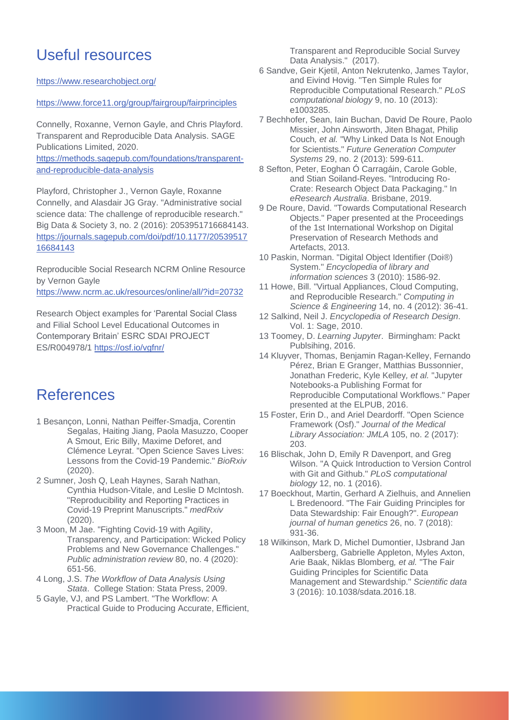## Useful resources

<https://www.researchobject.org/>

#### <https://www.force11.org/group/fairgroup/fairprinciples>

Connelly, Roxanne, Vernon Gayle, and Chris Playford. Transparent and Reproducible Data Analysis. SAGE Publications Limited, 2020.

[https://methods.sagepub.com/foundations/transparent](https://methods.sagepub.com/foundations/transparent-and-reproducible-data-analysis)[and-reproducible-data-analysis](https://methods.sagepub.com/foundations/transparent-and-reproducible-data-analysis)

Playford, Christopher J., Vernon Gayle, Roxanne Connelly, and Alasdair JG Gray. "Administrative social science data: The challenge of reproducible research." Big Data & Society 3, no. 2 (2016): 2053951716684143. [https://journals.sagepub.com/doi/pdf/10.1177/20539517](https://journals.sagepub.com/doi/pdf/10.1177/2053951716684143) [16684143](https://journals.sagepub.com/doi/pdf/10.1177/2053951716684143)

Reproducible Social Research NCRM Online Resource by Vernon Gayle <https://www.ncrm.ac.uk/resources/online/all/?id=20732>

Research Object examples for 'Parental Social Class and Filial School Level Educational Outcomes in Contemporary Britain' ESRC SDAI PROJECT ES/R004978/1<https://osf.io/vgfnr/>

#### References

- 1 Besançon, Lonni, Nathan Peiffer-Smadja, Corentin Segalas, Haiting Jiang, Paola Masuzzo, Cooper A Smout, Eric Billy, Maxime Deforet, and Clémence Leyrat. "Open Science Saves Lives: Lessons from the Covid-19 Pandemic." *BioRxiv*  (2020).
- 2 Sumner, Josh Q, Leah Haynes, Sarah Nathan, Cynthia Hudson-Vitale, and Leslie D McIntosh. "Reproducibility and Reporting Practices in Covid-19 Preprint Manuscripts." *medRxiv*  (2020).
- 3 Moon, M Jae. "Fighting Covid‐19 with Agility, Transparency, and Participation: Wicked Policy Problems and New Governance Challenges." *Public administration review* 80, no. 4 (2020): 651-56.
- 4 Long, J.S. *The Workflow of Data Analysis Using Stata*. College Station: Stata Press, 2009.
- 5 Gayle, VJ, and PS Lambert. "The Workflow: A Practical Guide to Producing Accurate, Efficient,

Transparent and Reproducible Social Survey Data Analysis." (2017).

- 6 Sandve, Geir Kjetil, Anton Nekrutenko, James Taylor, and Eivind Hovig. "Ten Simple Rules for Reproducible Computational Research." *PLoS computational biology* 9, no. 10 (2013): e1003285.
- 7 Bechhofer, Sean, Iain Buchan, David De Roure, Paolo Missier, John Ainsworth, Jiten Bhagat, Philip Couch*, et al.* "Why Linked Data Is Not Enough for Scientists." *Future Generation Computer Systems* 29, no. 2 (2013): 599-611.
- 8 Sefton, Peter, Eoghan Ó Carragáin, Carole Goble, and Stian Soiland-Reyes. "Introducing Ro-Crate: Research Object Data Packaging." In *eResearch Australia*. Brisbane, 2019.
- 9 De Roure, David. "Towards Computational Research Objects." Paper presented at the Proceedings of the 1st International Workshop on Digital Preservation of Research Methods and Artefacts, 2013.
- 10 Paskin, Norman. "Digital Object Identifier (Doi®) System." *Encyclopedia of library and information sciences* 3 (2010): 1586-92.
- 11 Howe, Bill. "Virtual Appliances, Cloud Computing, and Reproducible Research." *Computing in Science & Engineering* 14, no. 4 (2012): 36-41.
- 12 Salkind, Neil J. *Encyclopedia of Research Design*. Vol. 1: Sage, 2010.
- 13 Toomey, D. *Learning Jupyter*. Birmingham: Packt Publsihing, 2016.
- 14 Kluyver, Thomas, Benjamin Ragan-Kelley, Fernando Pérez, Brian E Granger, Matthias Bussonnier, Jonathan Frederic, Kyle Kelley*, et al.* "Jupyter Notebooks-a Publishing Format for Reproducible Computational Workflows." Paper presented at the ELPUB, 2016.
- 15 Foster, Erin D., and Ariel Deardorff. "Open Science Framework (Osf)." *Journal of the Medical Library Association: JMLA* 105, no. 2 (2017): 203.
- 16 Blischak, John D, Emily R Davenport, and Greg Wilson. "A Quick Introduction to Version Control with Git and Github." *PLoS computational biology* 12, no. 1 (2016).
- 17 Boeckhout, Martin, Gerhard A Zielhuis, and Annelien L Bredenoord. "The Fair Guiding Principles for Data Stewardship: Fair Enough?". *European journal of human genetics* 26, no. 7 (2018): 931-36.
- 18 Wilkinson, Mark D, Michel Dumontier, IJsbrand Jan Aalbersberg, Gabrielle Appleton, Myles Axton, Arie Baak, Niklas Blomberg*, et al.* "The Fair Guiding Principles for Scientific Data Management and Stewardship." *Scientific data*  3 (2016): 10.1038/sdata.2016.18.